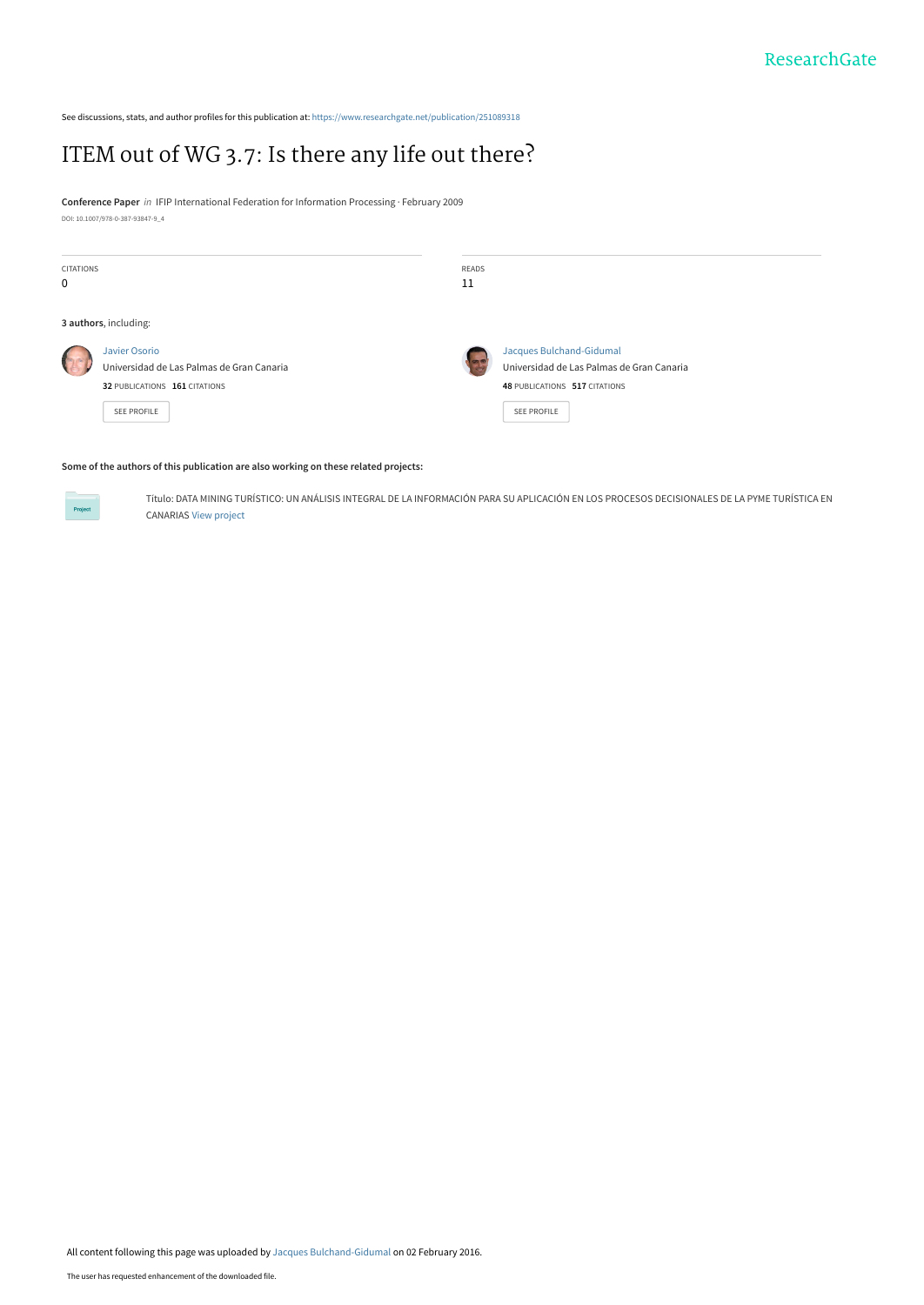See discussions, stats, and author profiles for this publication at: [https://www.researchgate.net/publication/251089318](https://www.researchgate.net/publication/251089318_ITEM_out_of_WG_37_Is_there_any_life_out_there?enrichId=rgreq-50f83e3c6d1741a33654b1508c9739bb-XXX&enrichSource=Y292ZXJQYWdlOzI1MTA4OTMxODtBUzozMjQ2NDcxMjIzNDE4OTNAMTQ1NDQxMzMxNDQwNA%3D%3D&el=1_x_2&_esc=publicationCoverPdf)

# [ITEM out of WG 3.7: Is there any life out there?](https://www.researchgate.net/publication/251089318_ITEM_out_of_WG_37_Is_there_any_life_out_there?enrichId=rgreq-50f83e3c6d1741a33654b1508c9739bb-XXX&enrichSource=Y292ZXJQYWdlOzI1MTA4OTMxODtBUzozMjQ2NDcxMjIzNDE4OTNAMTQ1NDQxMzMxNDQwNA%3D%3D&el=1_x_3&_esc=publicationCoverPdf)

**Conference Paper** in IFIP International Federation for Information Processing · February 2009 DOI: 10.1007/978-0-387-93847-9\_4

| <b>CITATIONS</b><br>$\mathbf 0$ |                                                                                                            | READS<br>11 |                                                                                                                              |
|---------------------------------|------------------------------------------------------------------------------------------------------------|-------------|------------------------------------------------------------------------------------------------------------------------------|
|                                 | 3 authors, including:                                                                                      |             |                                                                                                                              |
|                                 | Javier Osorio<br>Universidad de Las Palmas de Gran Canaria<br>32 PUBLICATIONS 161 CITATIONS<br>SEE PROFILE |             | Jacques Bulchand-Gidumal<br>Universidad de Las Palmas de Gran Canaria<br>48 PUBLICATIONS 517 CITATIONS<br><b>SEE PROFILE</b> |

#### **Some of the authors of this publication are also working on these related projects:**



Título: DATA MINING TURÍSTICO: UN ANÁLISIS INTEGRAL DE LA INFORMACIÓN PARA SU APLICACIÓN EN LOS PROCESOS DECISIONALES DE LA PYME TURÍSTICA EN CANARIAS [View project](https://www.researchgate.net/project/Titulo-DATA-MINING-TURISTICO-UN-ANALISIS-INTEGRAL-DE-LA-INFORMACION-PARA-SU-APLICACION-EN-LOS-PROCESOS-DECISIONALES-DE-LA-PYME-TURISTICA-EN-CANARIAS?enrichId=rgreq-50f83e3c6d1741a33654b1508c9739bb-XXX&enrichSource=Y292ZXJQYWdlOzI1MTA4OTMxODtBUzozMjQ2NDcxMjIzNDE4OTNAMTQ1NDQxMzMxNDQwNA%3D%3D&el=1_x_9&_esc=publicationCoverPdf)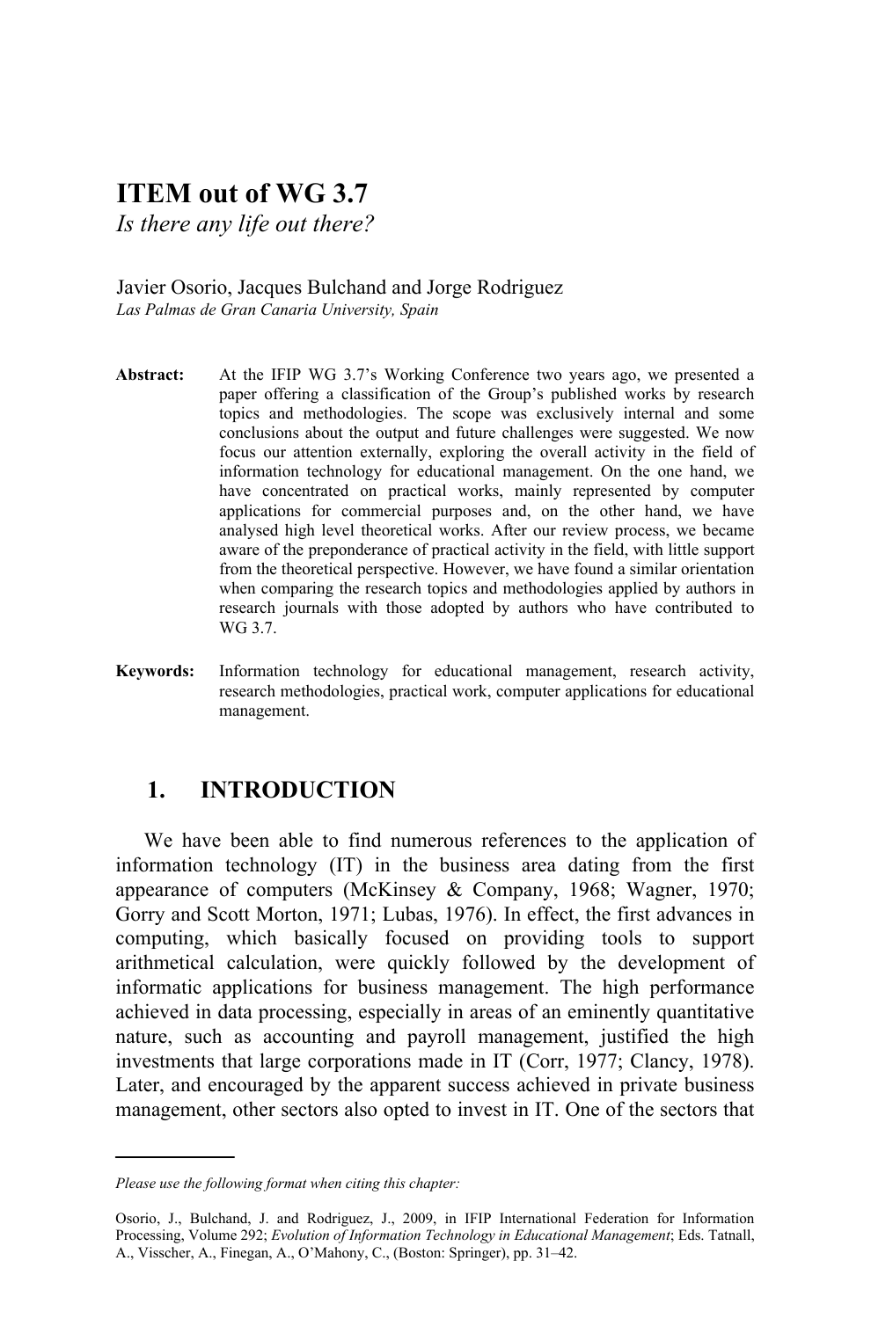## **ITEM out of WG 3.7**

*Is there any life out there?* 

Javier Osorio, Jacques Bulchand and Jorge Rodriguez *Las Palmas de Gran Canaria University, Spain* 

- **Abstract:** At the IFIP WG 3.7's Working Conference two years ago, we presented a paper offering a classification of the Group's published works by research topics and methodologies. The scope was exclusively internal and some conclusions about the output and future challenges were suggested. We now focus our attention externally, exploring the overall activity in the field of information technology for educational management. On the one hand, we have concentrated on practical works, mainly represented by computer applications for commercial purposes and, on the other hand, we have analysed high level theoretical works. After our review process, we became aware of the preponderance of practical activity in the field, with little support from the theoretical perspective. However, we have found a similar orientation when comparing the research topics and methodologies applied by authors in research journals with those adopted by authors who have contributed to WG 3.7.
- **Keywords:** Information technology for educational management, research activity, research methodologies, practical work, computer applications for educational management.

#### **1. INTRODUCTION**

We have been able to find numerous references to the application of information technology (IT) in the business area dating from the first appearance of computers (McKinsey & Company, 1968; Wagner, 1970; Gorry and Scott Morton, 1971; Lubas, 1976). In effect, the first advances in computing, which basically focused on providing tools to support arithmetical calculation, were quickly followed by the development of informatic applications for business management. The high performance achieved in data processing, especially in areas of an eminently quantitative nature, such as accounting and payroll management, justified the high investments that large corporations made in IT (Corr, 1977; Clancy, 1978). Later, and encouraged by the apparent success achieved in private business management, other sectors also opted to invest in IT. One of the sectors that

*Please use the following format when citing this chapter:* 

Osorio, J., Bulchand, J. and Rodriguez, J., 2009, in IFIP International Federation for Information A., Visscher, A., Finegan, A., O'Mahony, C., (Boston: Springer), pp. 31–42. Processing, Volume 292; *Evolution of Information Technology in Educational Management*; Eds. Tatnall,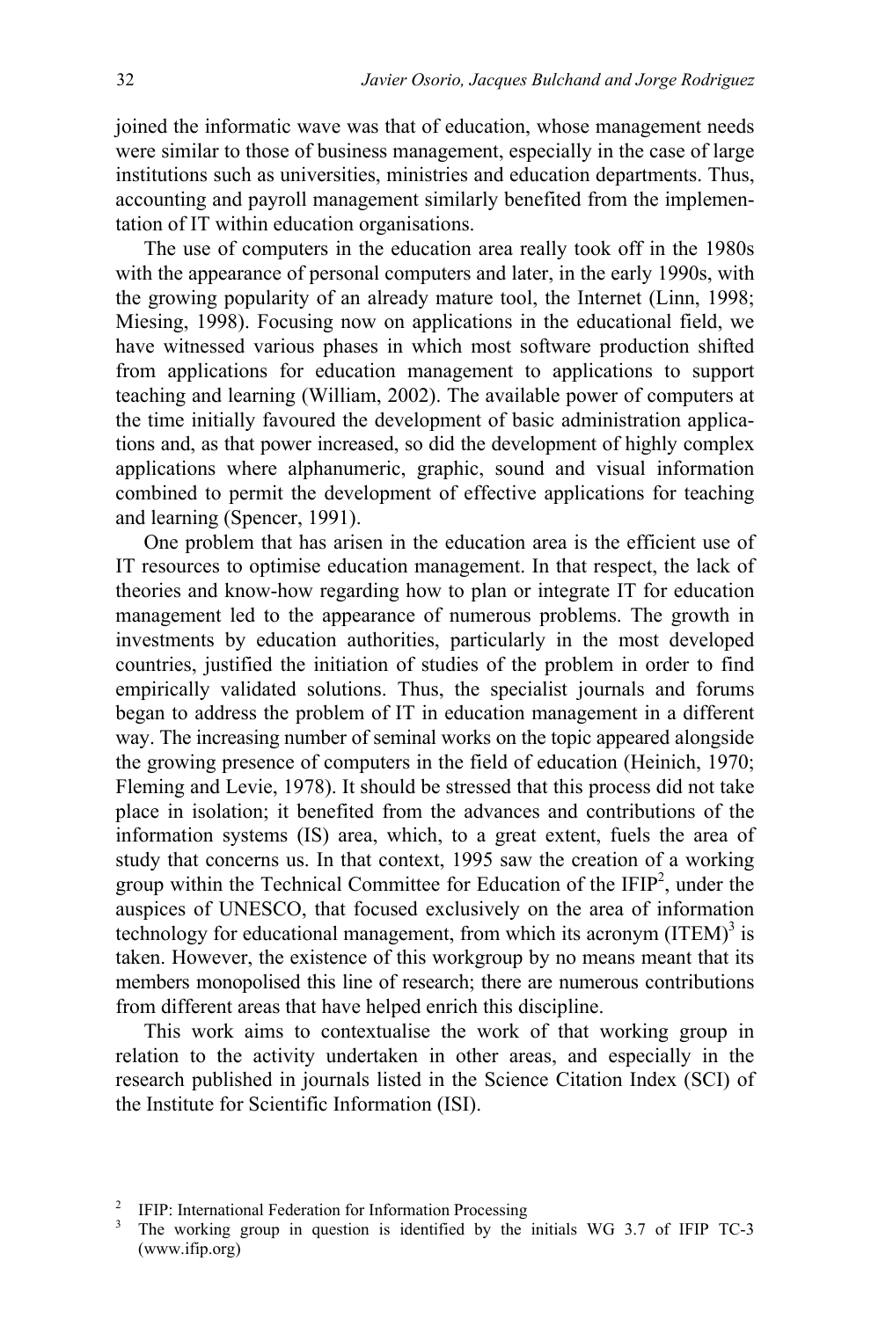joined the informatic wave was that of education, whose management needs were similar to those of business management, especially in the case of large institutions such as universities, ministries and education departments. Thus, accounting and payroll management similarly benefited from the implementation of IT within education organisations.

The use of computers in the education area really took off in the 1980s with the appearance of personal computers and later, in the early 1990s, with the growing popularity of an already mature tool, the Internet (Linn, 1998; Miesing, 1998). Focusing now on applications in the educational field, we have witnessed various phases in which most software production shifted from applications for education management to applications to support teaching and learning (William, 2002). The available power of computers at the time initially favoured the development of basic administration applications and, as that power increased, so did the development of highly complex applications where alphanumeric, graphic, sound and visual information combined to permit the development of effective applications for teaching and learning (Spencer, 1991).

One problem that has arisen in the education area is the efficient use of IT resources to optimise education management. In that respect, the lack of theories and know-how regarding how to plan or integrate IT for education management led to the appearance of numerous problems. The growth in investments by education authorities, particularly in the most developed countries, justified the initiation of studies of the problem in order to find empirically validated solutions. Thus, the specialist journals and forums began to address the problem of IT in education management in a different way. The increasing number of seminal works on the topic appeared alongside the growing presence of computers in the field of education (Heinich, 1970; Fleming and Levie, 1978). It should be stressed that this process did not take place in isolation; it benefited from the advances and contributions of the information systems (IS) area, which, to a great extent, fuels the area of study that concerns us. In that context, 1995 saw the creation of a working group within the Technical Committee for Education of the  $IFIP<sup>2</sup>$ , under the auspices of UNESCO, that focused exclusively on the area of information technology for educational management, from which its acronym  $(TFM)^3$  is taken. However, the existence of this workgroup by no means meant that its members monopolised this line of research; there are numerous contributions from different areas that have helped enrich this discipline.

This work aims to contextualise the work of that working group in relation to the activity undertaken in other areas, and especially in the research published in journals listed in the Science Citation Index (SCI) of the Institute for Scientific Information (ISI).

<sup>2</sup> IFIP: International Federation for Information Processing

<sup>3</sup> The working group in question is identified by the initials WG 3.7 of IFIP TC-3 (www.ifip.org)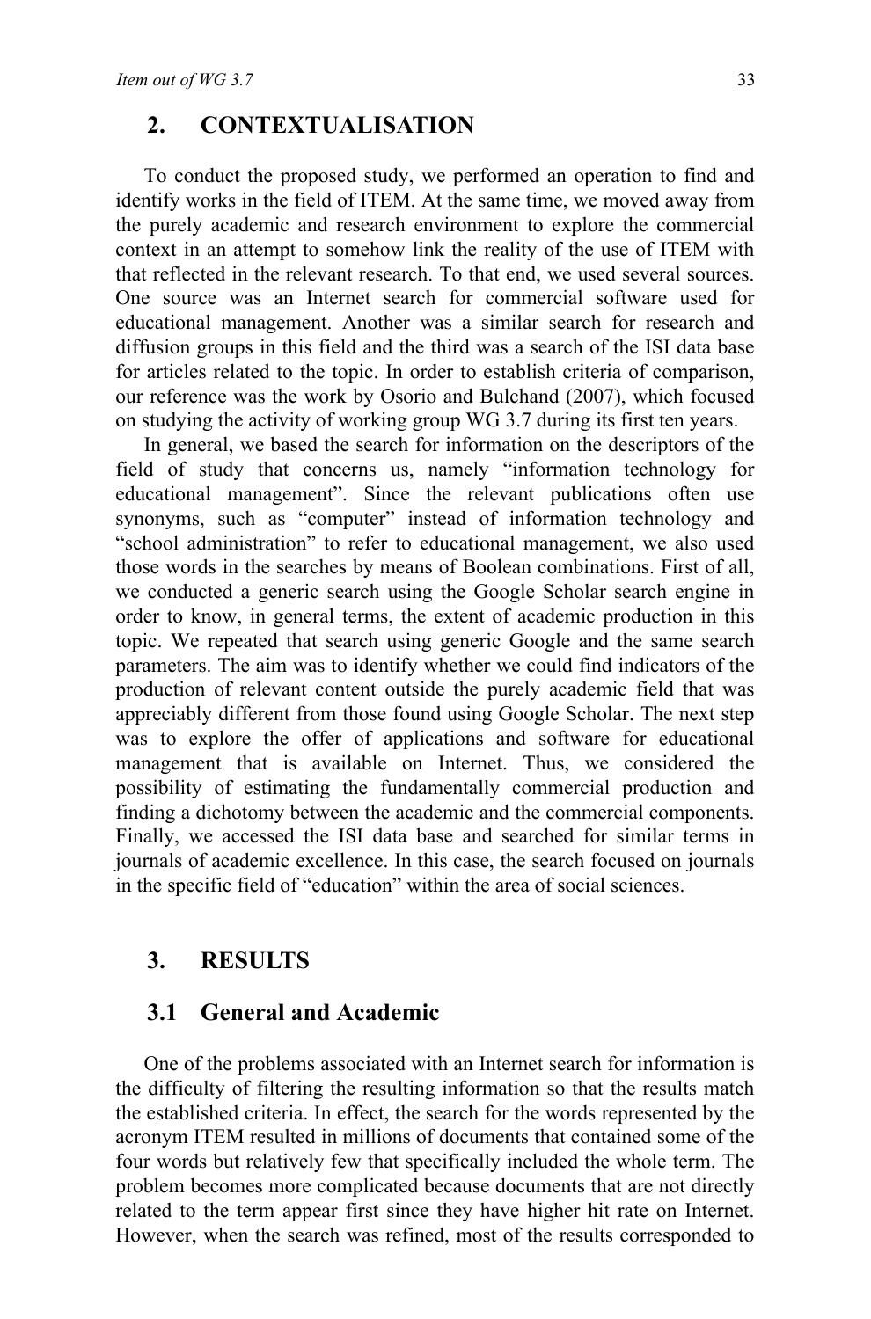#### **2. CONTEXTUALISATION**

To conduct the proposed study, we performed an operation to find and identify works in the field of ITEM. At the same time, we moved away from the purely academic and research environment to explore the commercial context in an attempt to somehow link the reality of the use of ITEM with that reflected in the relevant research. To that end, we used several sources. One source was an Internet search for commercial software used for educational management. Another was a similar search for research and diffusion groups in this field and the third was a search of the ISI data base for articles related to the topic. In order to establish criteria of comparison, our reference was the work by Osorio and Bulchand (2007), which focused on studying the activity of working group WG 3.7 during its first ten years.

In general, we based the search for information on the descriptors of the field of study that concerns us, namely "information technology for educational management". Since the relevant publications often use synonyms, such as "computer" instead of information technology and "school administration" to refer to educational management, we also used those words in the searches by means of Boolean combinations. First of all, we conducted a generic search using the Google Scholar search engine in order to know, in general terms, the extent of academic production in this topic. We repeated that search using generic Google and the same search parameters. The aim was to identify whether we could find indicators of the production of relevant content outside the purely academic field that was appreciably different from those found using Google Scholar. The next step was to explore the offer of applications and software for educational management that is available on Internet. Thus, we considered the possibility of estimating the fundamentally commercial production and finding a dichotomy between the academic and the commercial components. Finally, we accessed the ISI data base and searched for similar terms in journals of academic excellence. In this case, the search focused on journals in the specific field of "education" within the area of social sciences.

#### **3. RESULTS**

#### **3.1 General and Academic**

One of the problems associated with an Internet search for information is the difficulty of filtering the resulting information so that the results match the established criteria. In effect, the search for the words represented by the acronym ITEM resulted in millions of documents that contained some of the four words but relatively few that specifically included the whole term. The problem becomes more complicated because documents that are not directly related to the term appear first since they have higher hit rate on Internet. However, when the search was refined, most of the results corresponded to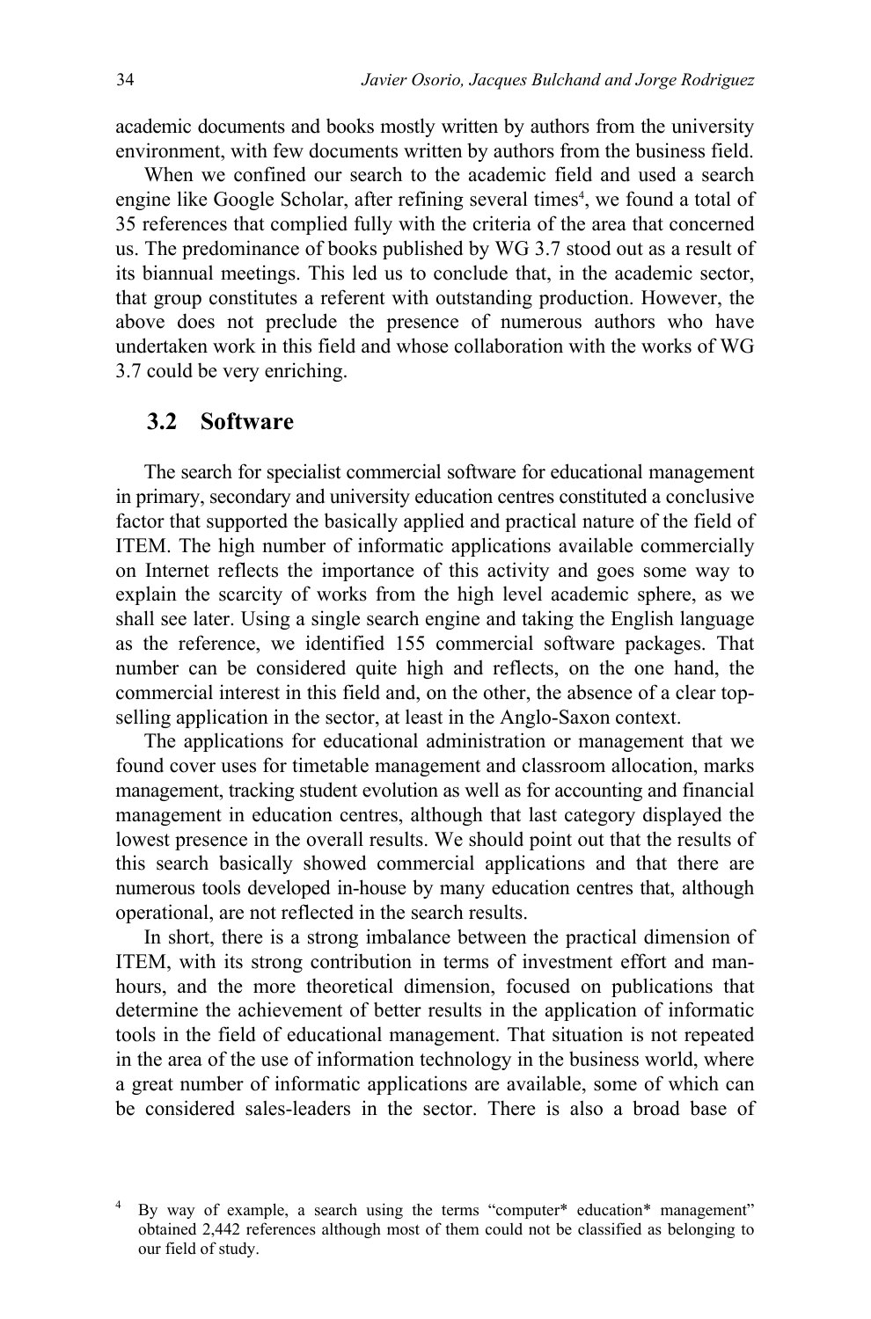academic documents and books mostly written by authors from the university environment, with few documents written by authors from the business field.

When we confined our search to the academic field and used a search engine like Google Scholar, after refining several times<sup>4</sup>, we found a total of 35 references that complied fully with the criteria of the area that concerned us. The predominance of books published by WG 3.7 stood out as a result of its biannual meetings. This led us to conclude that, in the academic sector, that group constitutes a referent with outstanding production. However, the above does not preclude the presence of numerous authors who have undertaken work in this field and whose collaboration with the works of WG 3.7 could be very enriching.

#### **3.2 Software**

The search for specialist commercial software for educational management in primary, secondary and university education centres constituted a conclusive factor that supported the basically applied and practical nature of the field of ITEM. The high number of informatic applications available commercially on Internet reflects the importance of this activity and goes some way to explain the scarcity of works from the high level academic sphere, as we shall see later. Using a single search engine and taking the English language as the reference, we identified 155 commercial software packages. That number can be considered quite high and reflects, on the one hand, the commercial interest in this field and, on the other, the absence of a clear topselling application in the sector, at least in the Anglo-Saxon context.

The applications for educational administration or management that we found cover uses for timetable management and classroom allocation, marks management, tracking student evolution as well as for accounting and financial management in education centres, although that last category displayed the lowest presence in the overall results. We should point out that the results of this search basically showed commercial applications and that there are numerous tools developed in-house by many education centres that, although operational, are not reflected in the search results.

In short, there is a strong imbalance between the practical dimension of ITEM, with its strong contribution in terms of investment effort and manhours, and the more theoretical dimension, focused on publications that determine the achievement of better results in the application of informatic tools in the field of educational management. That situation is not repeated in the area of the use of information technology in the business world, where a great number of informatic applications are available, some of which can be considered sales-leaders in the sector. There is also a broad base of

<sup>4</sup> By way of example, a search using the terms "computer\* education\* management" obtained 2,442 references although most of them could not be classified as belonging to our field of study.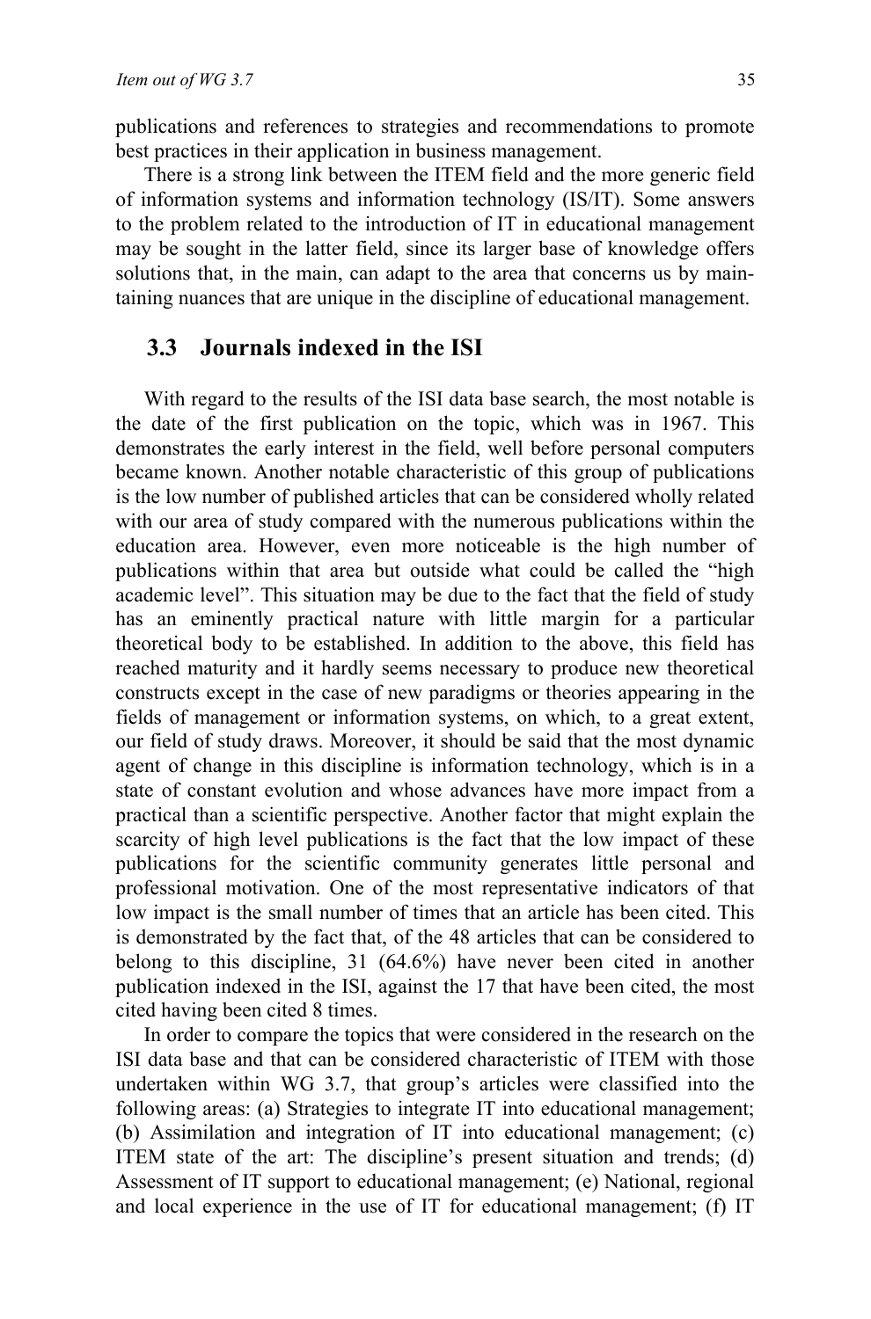publications and references to strategies and recommendations to promote best practices in their application in business management.

There is a strong link between the ITEM field and the more generic field of information systems and information technology (IS/IT). Some answers to the problem related to the introduction of IT in educational management may be sought in the latter field, since its larger base of knowledge offers solutions that, in the main, can adapt to the area that concerns us by maintaining nuances that are unique in the discipline of educational management.

#### **3.3 Journals indexed in the ISI**

With regard to the results of the ISI data base search, the most notable is the date of the first publication on the topic, which was in 1967. This demonstrates the early interest in the field, well before personal computers became known. Another notable characteristic of this group of publications is the low number of published articles that can be considered wholly related with our area of study compared with the numerous publications within the education area. However, even more noticeable is the high number of publications within that area but outside what could be called the "high academic level". This situation may be due to the fact that the field of study has an eminently practical nature with little margin for a particular theoretical body to be established. In addition to the above, this field has reached maturity and it hardly seems necessary to produce new theoretical constructs except in the case of new paradigms or theories appearing in the fields of management or information systems, on which, to a great extent, our field of study draws. Moreover, it should be said that the most dynamic agent of change in this discipline is information technology, which is in a state of constant evolution and whose advances have more impact from a practical than a scientific perspective. Another factor that might explain the scarcity of high level publications is the fact that the low impact of these publications for the scientific community generates little personal and professional motivation. One of the most representative indicators of that low impact is the small number of times that an article has been cited. This is demonstrated by the fact that, of the 48 articles that can be considered to belong to this discipline, 31 (64.6%) have never been cited in another publication indexed in the ISI, against the 17 that have been cited, the most cited having been cited 8 times.

In order to compare the topics that were considered in the research on the ISI data base and that can be considered characteristic of ITEM with those undertaken within WG 3.7, that group's articles were classified into the following areas: (a) Strategies to integrate IT into educational management; (b) Assimilation and integration of IT into educational management; (c) ITEM state of the art: The discipline's present situation and trends; (d) Assessment of IT support to educational management; (e) National, regional and local experience in the use of IT for educational management; (f) IT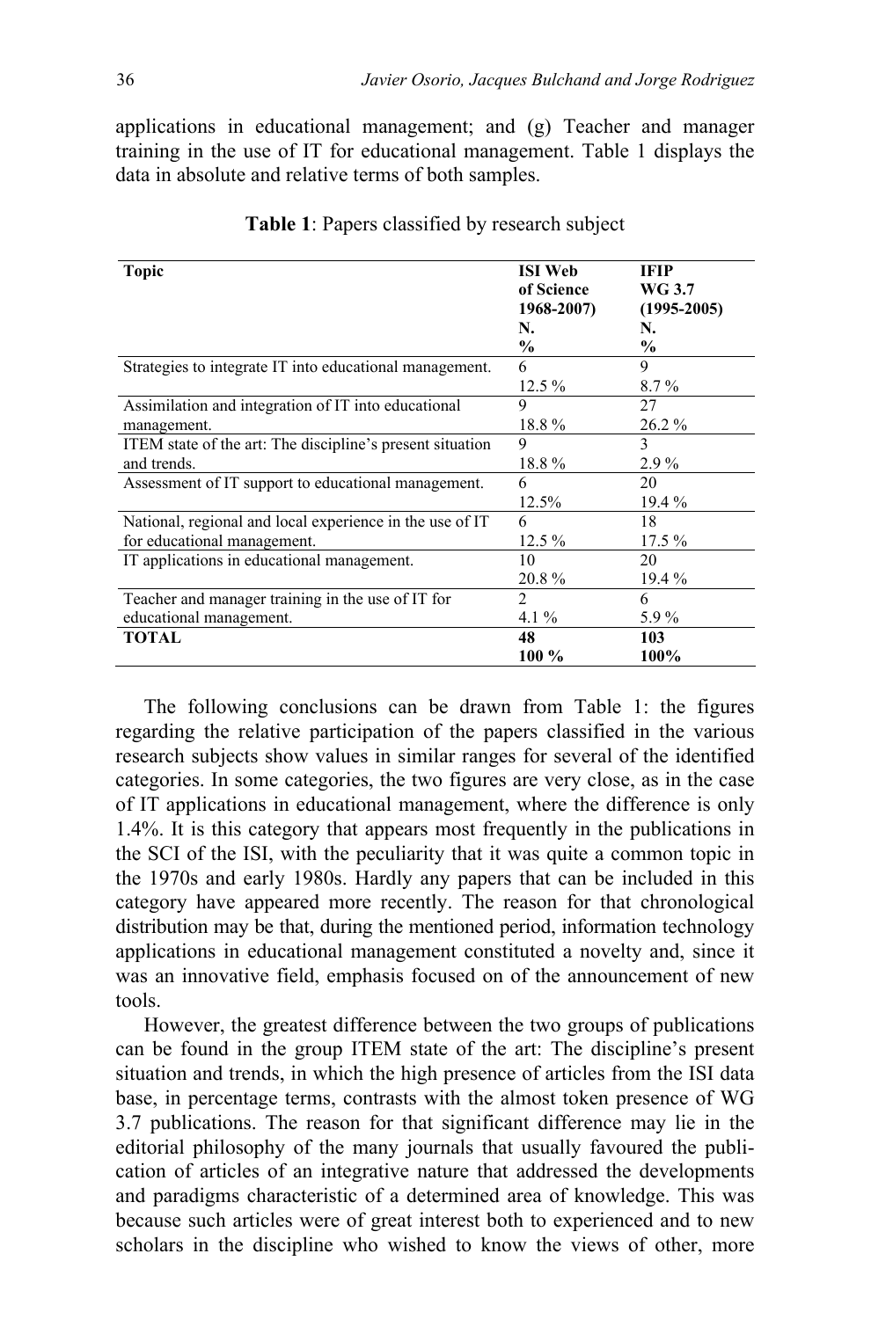applications in educational management; and (g) Teacher and manager training in the use of IT for educational management. Table 1 displays the data in absolute and relative terms of both samples.

| <b>Topic</b>                                                                            | <b>ISI Web</b><br>of Science<br>1968-2007)<br>N.<br>$\frac{6}{9}$ | <b>IFIP</b><br>WG 3.7<br>$(1995 - 2005)$<br>N.<br>$\frac{6}{9}$ |
|-----------------------------------------------------------------------------------------|-------------------------------------------------------------------|-----------------------------------------------------------------|
| Strategies to integrate IT into educational management.                                 | 6<br>$12.5\%$                                                     | $\mathbf Q$<br>$8.7\%$                                          |
| Assimilation and integration of IT into educational<br>management.                      | 9<br>18.8%                                                        | 27<br>26.2%                                                     |
| ITEM state of the art: The discipline's present situation<br>and trends.                | $\mathbf Q$<br>18.8%                                              | 3<br>$2.9\%$                                                    |
| Assessment of IT support to educational management.                                     | 6<br>12.5%                                                        | 20<br>19.4 %                                                    |
| National, regional and local experience in the use of IT<br>for educational management. | 6<br>$12.5\%$                                                     | 18<br>$17.5\%$                                                  |
| IT applications in educational management.                                              | 10<br>20.8%                                                       | 20<br>19.4 %                                                    |
| Teacher and manager training in the use of IT for<br>educational management.            | $\mathfrak{D}$<br>$4.1\%$                                         | 6<br>5.9%                                                       |
| TOTAL                                                                                   | 48<br>100 %                                                       | 103<br>100%                                                     |

**Table 1**: Papers classified by research subject

The following conclusions can be drawn from Table 1: the figures regarding the relative participation of the papers classified in the various research subjects show values in similar ranges for several of the identified categories. In some categories, the two figures are very close, as in the case of IT applications in educational management, where the difference is only 1.4%. It is this category that appears most frequently in the publications in the SCI of the ISI, with the peculiarity that it was quite a common topic in the 1970s and early 1980s. Hardly any papers that can be included in this category have appeared more recently. The reason for that chronological distribution may be that, during the mentioned period, information technology applications in educational management constituted a novelty and, since it was an innovative field, emphasis focused on of the announcement of new tools.

However, the greatest difference between the two groups of publications can be found in the group ITEM state of the art: The discipline's present situation and trends, in which the high presence of articles from the ISI data base, in percentage terms, contrasts with the almost token presence of WG 3.7 publications. The reason for that significant difference may lie in the editorial philosophy of the many journals that usually favoured the publication of articles of an integrative nature that addressed the developments and paradigms characteristic of a determined area of knowledge. This was because such articles were of great interest both to experienced and to new scholars in the discipline who wished to know the views of other, more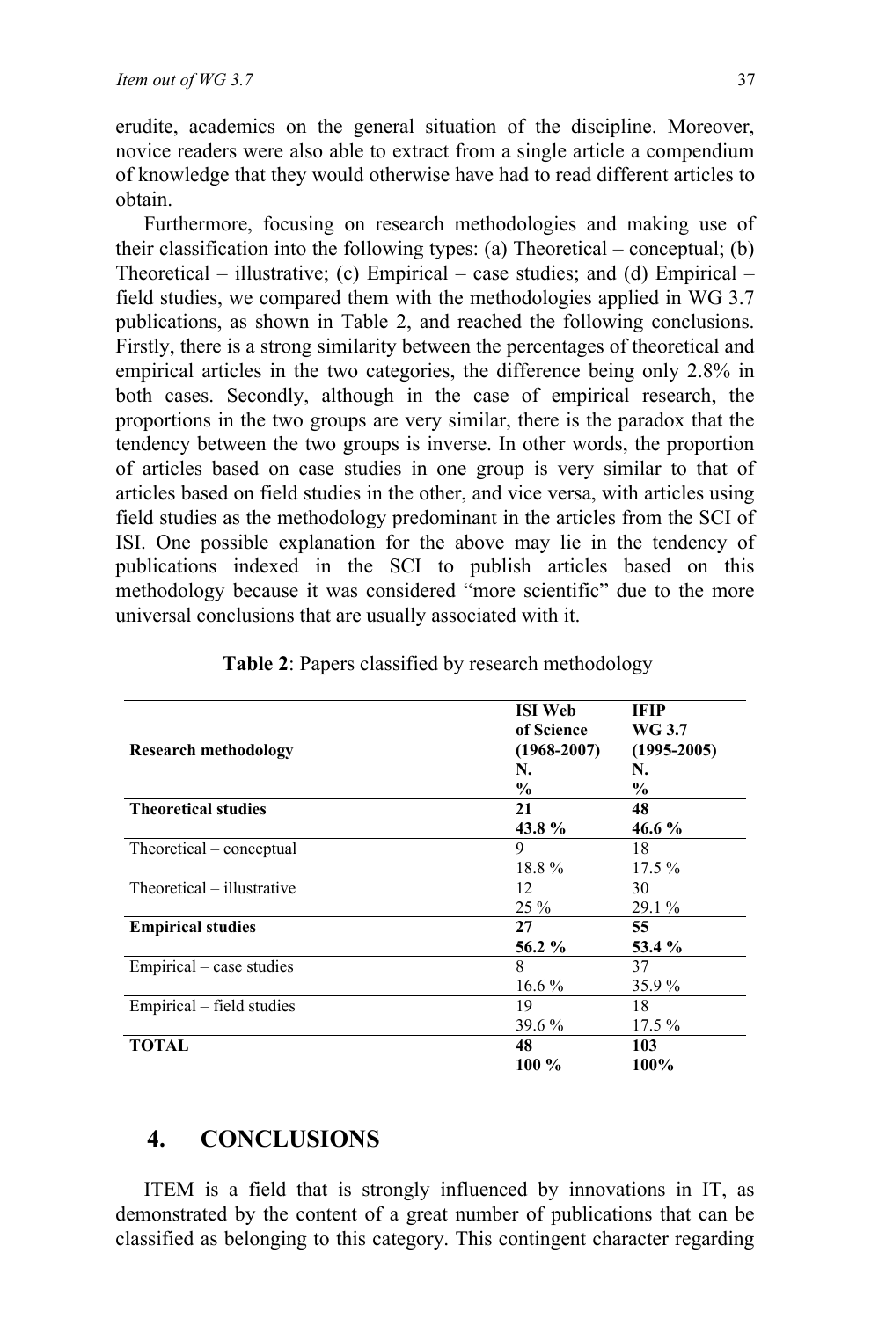erudite, academics on the general situation of the discipline. Moreover, novice readers were also able to extract from a single article a compendium of knowledge that they would otherwise have had to read different articles to obtain.

Furthermore, focusing on research methodologies and making use of their classification into the following types: (a) Theoretical – conceptual; (b) Theoretical – illustrative; (c) Empirical – case studies; and (d) Empirical – field studies, we compared them with the methodologies applied in WG 3.7 publications, as shown in Table 2, and reached the following conclusions. Firstly, there is a strong similarity between the percentages of theoretical and empirical articles in the two categories, the difference being only 2.8% in both cases. Secondly, although in the case of empirical research, the proportions in the two groups are very similar, there is the paradox that the tendency between the two groups is inverse. In other words, the proportion of articles based on case studies in one group is very similar to that of articles based on field studies in the other, and vice versa, with articles using field studies as the methodology predominant in the articles from the SCI of ISI. One possible explanation for the above may lie in the tendency of publications indexed in the SCI to publish articles based on this methodology because it was considered "more scientific" due to the more universal conclusions that are usually associated with it.

|                             | <b>ISI Web</b>  | <b>TFIP</b>     |
|-----------------------------|-----------------|-----------------|
|                             | of Science      | WG 3.7          |
| <b>Research methodology</b> | $(1968 - 2007)$ | $(1995 - 2005)$ |
|                             | N.              | N.              |
|                             | $\frac{6}{9}$   | $\frac{0}{0}$   |
| <b>Theoretical studies</b>  | 21              | 48              |
|                             | 43.8 $%$        | 46.6 $%$        |
| Theoretical – conceptual    | 9               | 18              |
|                             | 18.8%           | $17.5\%$        |
| Theoretical - illustrative  | 12              | 30              |
|                             | $25\%$          | $29.1\%$        |
| <b>Empirical studies</b>    | 27              | 55.             |
|                             | 56.2 %          | 53.4 %          |
| Empirical – case studies    | 8               | 37              |
|                             | $16.6\%$        | 35.9%           |
| Empirical - field studies   | 19              | 18              |
|                             | 39.6 %          | $17.5\%$        |
| <b>TOTAL</b>                | 48              | 103             |
|                             | 100 %           | 100%            |

#### **4. CONCLUSIONS**

ITEM is a field that is strongly influenced by innovations in IT, as demonstrated by the content of a great number of publications that can be classified as belonging to this category. This contingent character regarding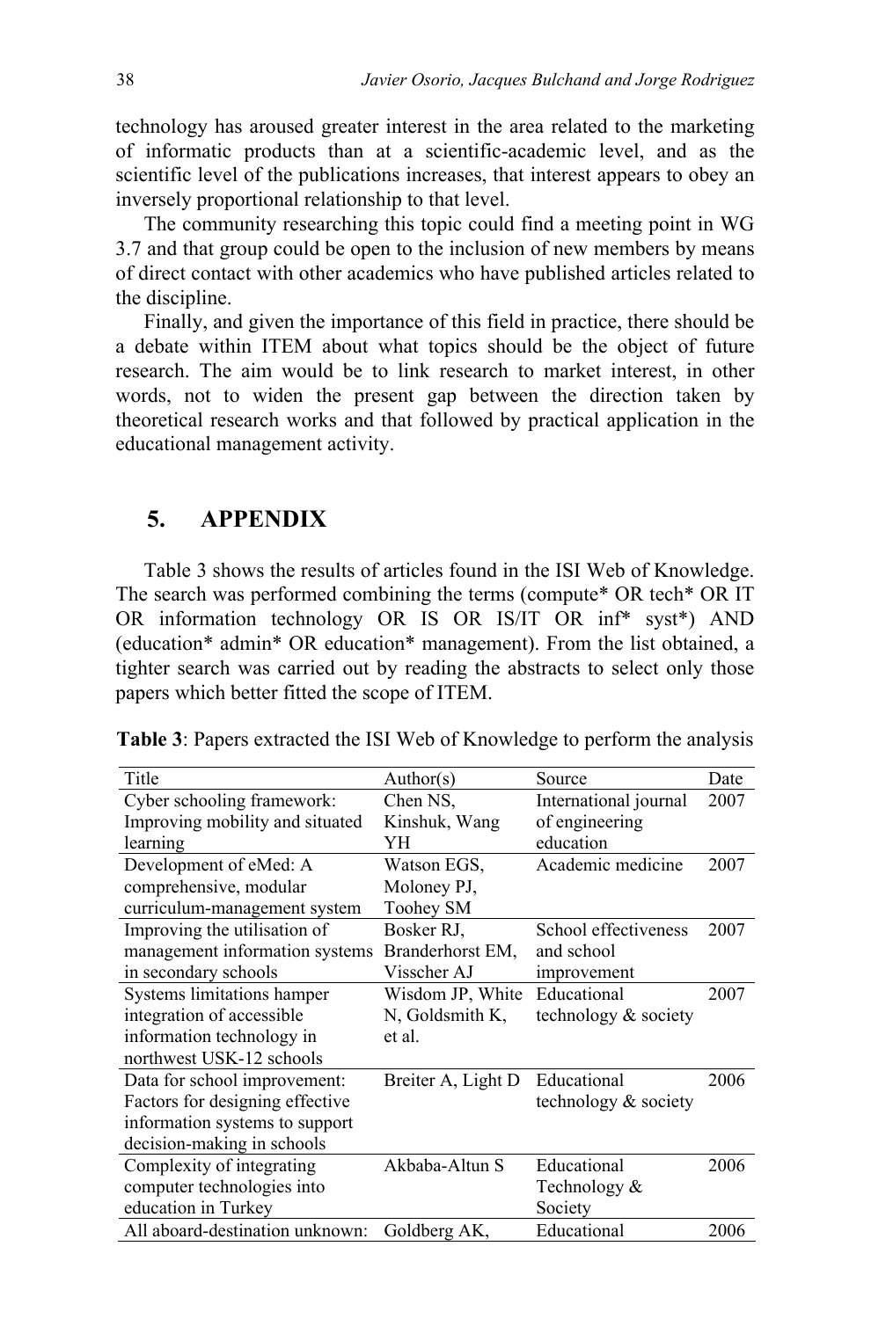technology has aroused greater interest in the area related to the marketing of informatic products than at a scientific-academic level, and as the scientific level of the publications increases, that interest appears to obey an inversely proportional relationship to that level.

The community researching this topic could find a meeting point in WG 3.7 and that group could be open to the inclusion of new members by means of direct contact with other academics who have published articles related to the discipline.

Finally, and given the importance of this field in practice, there should be a debate within ITEM about what topics should be the object of future research. The aim would be to link research to market interest, in other words, not to widen the present gap between the direction taken by theoretical research works and that followed by practical application in the educational management activity.

#### **5. APPENDIX**

Table 3 shows the results of articles found in the ISI Web of Knowledge. The search was performed combining the terms (compute\* OR tech\* OR IT OR information technology OR IS OR IS/IT OR inf\* syst\*) AND (education\* admin\* OR education\* management). From the list obtained, a tighter search was carried out by reading the abstracts to select only those papers which better fitted the scope of ITEM.

| Title                           | Author(s)          | Source                | Date |
|---------------------------------|--------------------|-----------------------|------|
| Cyber schooling framework:      | Chen NS.           | International journal | 2007 |
| Improving mobility and situated | Kinshuk, Wang      | of engineering        |      |
| learning                        | YH                 | education             |      |
| Development of eMed: A          | Watson EGS.        | Academic medicine     | 2007 |
| comprehensive, modular          | Moloney PJ,        |                       |      |
| curriculum-management system    | Toohey SM          |                       |      |
| Improving the utilisation of    | Bosker RJ.         | School effectiveness  | 2007 |
| management information systems  | Branderhorst EM.   | and school            |      |
| in secondary schools            | Visscher AJ        | improvement           |      |
| Systems limitations hamper      | Wisdom JP, White   | Educational           | 2007 |
| integration of accessible       | N, Goldsmith K,    | technology & society  |      |
| information technology in       | et al.             |                       |      |
| northwest USK-12 schools        |                    |                       |      |
| Data for school improvement:    | Breiter A, Light D | Educational           | 2006 |
| Factors for designing effective |                    | technology & society  |      |
| information systems to support  |                    |                       |      |
| decision-making in schools      |                    |                       |      |
| Complexity of integrating       | Akbaba-Altun S     | Educational           | 2006 |
| computer technologies into      |                    | Technology $\&$       |      |
| education in Turkey             |                    | Society               |      |
| All aboard-destination unknown: | Goldberg AK,       | Educational           | 2006 |

**Table 3**: Papers extracted the ISI Web of Knowledge to perform the analysis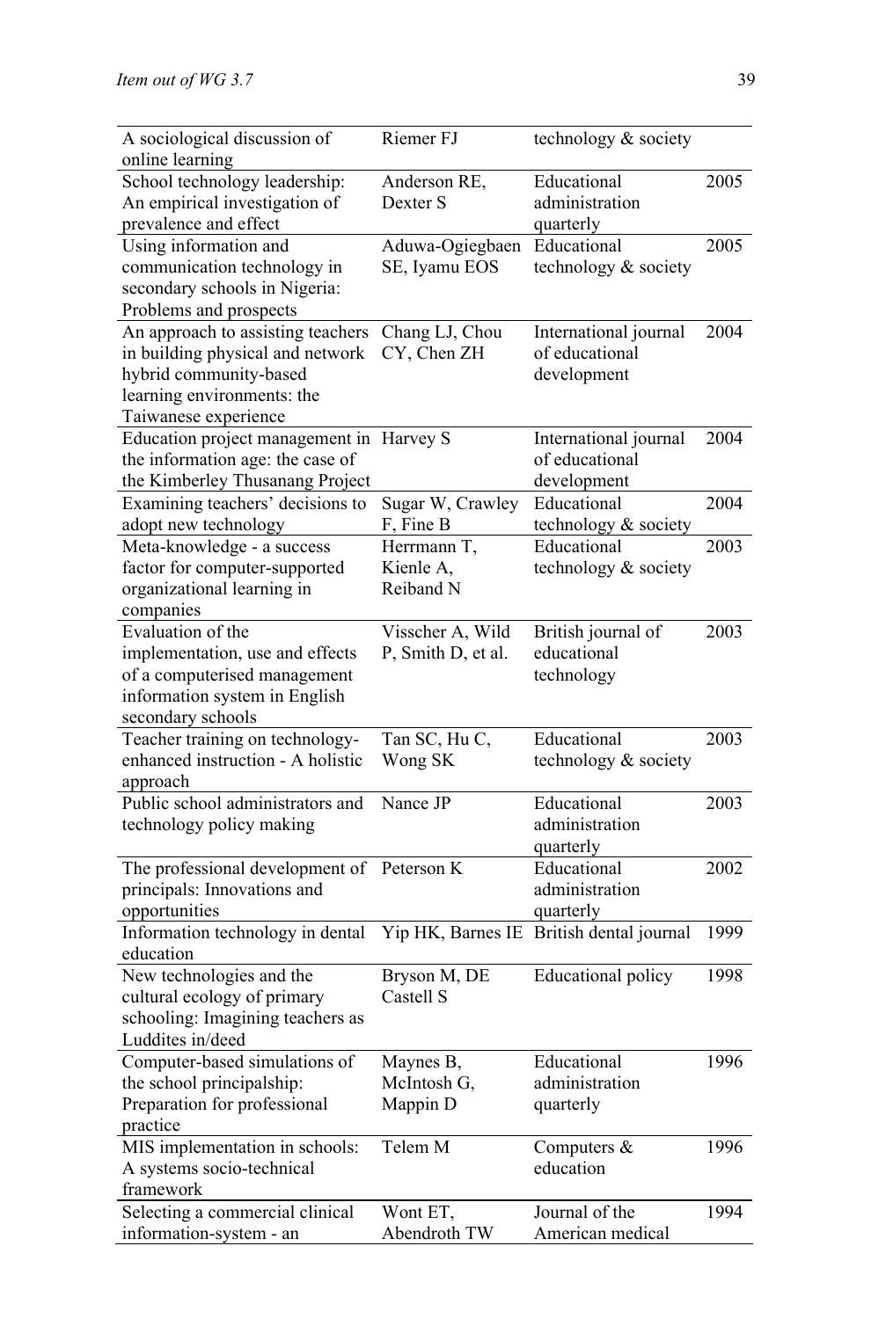| A sociological discussion of             | Riemer FJ          | technology & society                     |      |
|------------------------------------------|--------------------|------------------------------------------|------|
| online learning                          |                    |                                          |      |
| School technology leadership:            | Anderson RE,       | Educational                              | 2005 |
| An empirical investigation of            | Dexter S           | administration                           |      |
| prevalence and effect                    |                    | quarterly                                |      |
| Using information and                    | Aduwa-Ogiegbaen    | Educational                              | 2005 |
| communication technology in              | SE, Iyamu EOS      | technology & society                     |      |
| secondary schools in Nigeria:            |                    |                                          |      |
| Problems and prospects                   |                    |                                          |      |
| An approach to assisting teachers        | Chang LJ, Chou     | International journal                    | 2004 |
| in building physical and network         | CY, Chen ZH        | of educational                           |      |
| hybrid community-based                   |                    | development                              |      |
| learning environments: the               |                    |                                          |      |
| Taiwanese experience                     |                    |                                          |      |
| Education project management in Harvey S |                    | International journal                    | 2004 |
| the information age: the case of         |                    | of educational                           |      |
| the Kimberley Thusanang Project          |                    | development                              |      |
| Examining teachers' decisions to         | Sugar W, Crawley   | Educational                              | 2004 |
| adopt new technology                     | F, Fine B          | technology & society                     |      |
| Meta-knowledge - a success               | Herrmann T,        | Educational                              | 2003 |
| factor for computer-supported            | Kienle A,          | technology & society                     |      |
| organizational learning in               | Reiband N          |                                          |      |
| companies                                |                    |                                          |      |
| Evaluation of the                        | Visscher A, Wild   | British journal of                       | 2003 |
| implementation, use and effects          | P, Smith D, et al. | educational                              |      |
| of a computerised management             |                    | technology                               |      |
| information system in English            |                    |                                          |      |
| secondary schools                        |                    |                                          |      |
| Teacher training on technology-          | Tan SC, Hu C,      | Educational                              | 2003 |
| enhanced instruction - A holistic        | Wong SK            | technology & society                     |      |
| approach                                 |                    |                                          |      |
| Public school administrators and         | Nance JP           | Educational                              | 2003 |
| technology policy making                 |                    | administration                           |      |
|                                          |                    | quarterly                                |      |
| The professional development of          | Peterson K         | Educational                              | 2002 |
| principals: Innovations and              |                    | administration                           |      |
| opportunities                            |                    | quarterly                                |      |
| Information technology in dental         |                    | Yip HK, Barnes IE British dental journal | 1999 |
| education                                |                    |                                          |      |
| New technologies and the                 | Bryson M, DE       | <b>Educational policy</b>                | 1998 |
| cultural ecology of primary              | Castell S          |                                          |      |
| schooling: Imagining teachers as         |                    |                                          |      |
| Luddites in/deed                         |                    |                                          |      |
| Computer-based simulations of            |                    |                                          |      |
|                                          | Maynes B,          | Educational<br>administration            | 1996 |
| the school principalship:                | McIntosh G,        |                                          |      |
| Preparation for professional             | Mappin D           | quarterly                                |      |
| practice                                 |                    |                                          |      |
| MIS implementation in schools:           | Telem M            | Computers &                              | 1996 |
| A systems socio-technical                |                    | education                                |      |
| framework                                |                    |                                          |      |
| Selecting a commercial clinical          | Wont ET,           | Journal of the                           | 1994 |
| information-system - an                  | Abendroth TW       | American medical                         |      |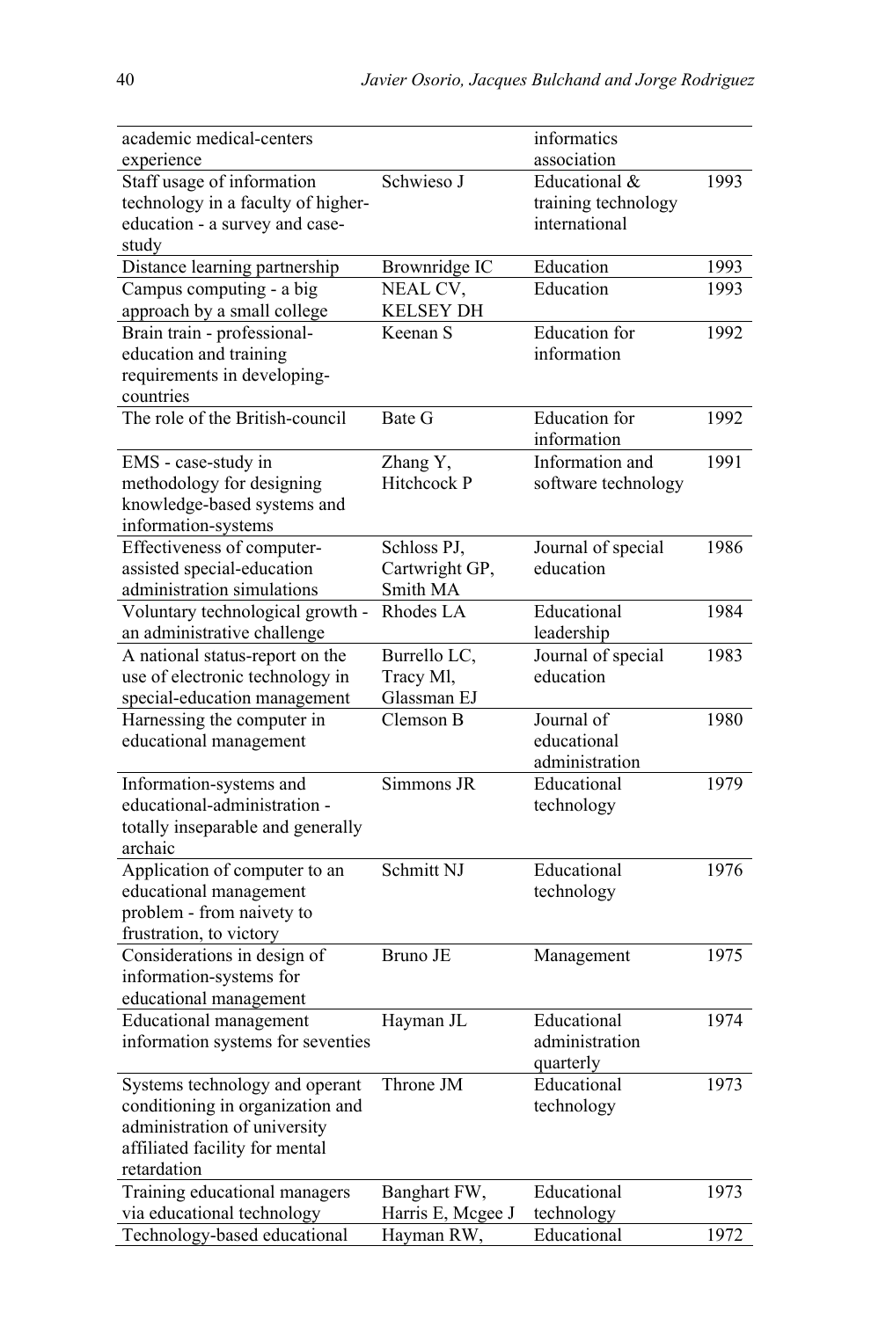| academic medical-centers           |                   | informatics          |      |
|------------------------------------|-------------------|----------------------|------|
| experience                         |                   | association          |      |
| Staff usage of information         | Schwieso J        | Educational &        | 1993 |
| technology in a faculty of higher- |                   | training technology  |      |
| education - a survey and case-     |                   | international        |      |
| study                              |                   |                      |      |
| Distance learning partnership      | Brownridge IC     | Education            | 1993 |
| Campus computing - a big           | NEAL CV,          | Education            | 1993 |
| approach by a small college        | <b>KELSEY DH</b>  |                      |      |
| Brain train - professional-        | Keenan S          | <b>Education</b> for | 1992 |
| education and training             |                   | information          |      |
| requirements in developing-        |                   |                      |      |
| countries                          |                   |                      |      |
| The role of the British-council    | Bate G            | <b>Education</b> for | 1992 |
|                                    |                   | information          |      |
| EMS - case-study in                | Zhang Y,          | Information and      | 1991 |
| methodology for designing          | Hitchcock P       | software technology  |      |
| knowledge-based systems and        |                   |                      |      |
| information-systems                |                   |                      |      |
| Effectiveness of computer-         | Schloss PJ,       | Journal of special   | 1986 |
| assisted special-education         | Cartwright GP,    | education            |      |
| administration simulations         | Smith MA          |                      |      |
| Voluntary technological growth -   | Rhodes LA         | Educational          | 1984 |
| an administrative challenge        |                   | leadership           |      |
| A national status-report on the    | Burrello LC,      | Journal of special   | 1983 |
| use of electronic technology in    | Tracy Ml,         | education            |      |
| special-education management       | Glassman EJ       |                      |      |
| Harnessing the computer in         | Clemson B         | Journal of           | 1980 |
| educational management             |                   | educational          |      |
|                                    |                   | administration       |      |
| Information-systems and            | Simmons JR        | Educational          | 1979 |
| educational-administration -       |                   | technology           |      |
| totally inseparable and generally  |                   |                      |      |
| archaic                            |                   |                      |      |
| Application of computer to an      | Schmitt NJ        | Educational          | 1976 |
| educational management             |                   | technology           |      |
| problem - from naivety to          |                   |                      |      |
| frustration, to victory            |                   |                      |      |
| Considerations in design of        | <b>Bruno JE</b>   | Management           | 1975 |
| information-systems for            |                   |                      |      |
| educational management             |                   |                      |      |
| Educational management             | Hayman JL         | Educational          | 1974 |
| information systems for seventies  |                   | administration       |      |
|                                    |                   | quarterly            |      |
| Systems technology and operant     | Throne JM         | Educational          | 1973 |
| conditioning in organization and   |                   | technology           |      |
| administration of university       |                   |                      |      |
| affiliated facility for mental     |                   |                      |      |
| retardation                        |                   |                      |      |
| Training educational managers      | Banghart FW,      | Educational          | 1973 |
| via educational technology         | Harris E, Mcgee J | technology           |      |
| Technology-based educational       | Hayman RW,        | Educational          | 1972 |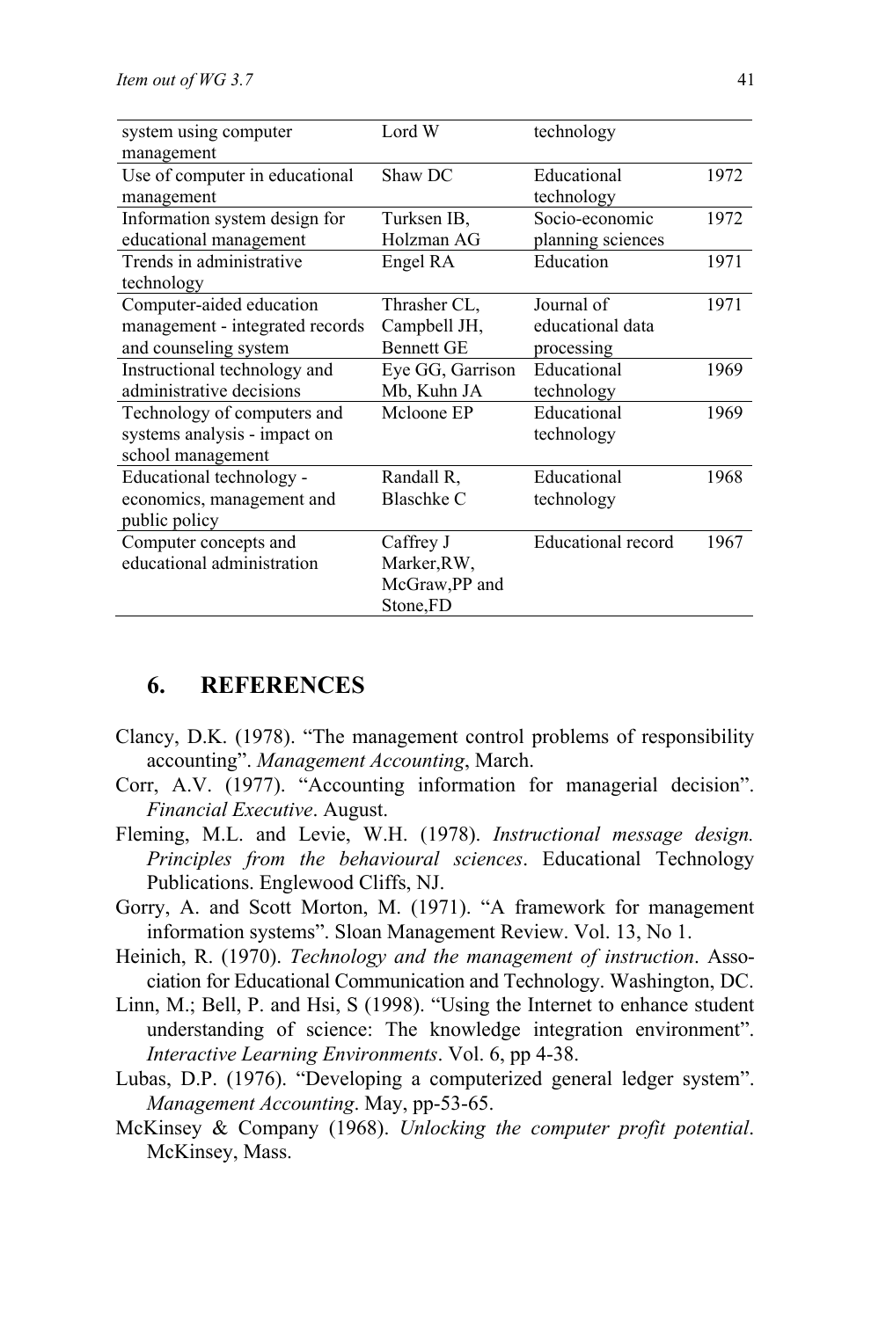| system using computer           | Lord W            | technology         |      |
|---------------------------------|-------------------|--------------------|------|
| management                      |                   |                    |      |
| Use of computer in educational  | Shaw DC           | Educational        | 1972 |
| management                      |                   | technology         |      |
| Information system design for   | Turksen IB,       | Socio-economic     | 1972 |
| educational management          | Holzman AG        | planning sciences  |      |
| Trends in administrative        | Engel RA          | Education          | 1971 |
| technology                      |                   |                    |      |
| Computer-aided education        | Thrasher CL.      | Journal of         | 1971 |
| management - integrated records | Campbell JH,      | educational data   |      |
| and counseling system           | <b>Bennett GE</b> | processing         |      |
| Instructional technology and    | Eye GG, Garrison  | Educational        | 1969 |
| administrative decisions        | Mb, Kuhn JA       | technology         |      |
| Technology of computers and     | Mcloone EP        | Educational        | 1969 |
| systems analysis - impact on    |                   | technology         |      |
| school management               |                   |                    |      |
| Educational technology -        | Randall R.        | Educational        | 1968 |
| economics, management and       | <b>Blaschke C</b> | technology         |      |
| public policy                   |                   |                    |      |
| Computer concepts and           | Caffrey J         | Educational record | 1967 |
| educational administration      | Marker, RW,       |                    |      |
|                                 | McGraw, PP and    |                    |      |
|                                 | Stone,FD          |                    |      |

### **6. REFERENCES**

- Clancy, D.K. (1978). "The management control problems of responsibility accounting". *Management Accounting*, March.
- Corr, A.V. (1977). "Accounting information for managerial decision". *Financial Executive*. August.
- Fleming, M.L. and Levie, W.H. (1978). *Instructional message design. Principles from the behavioural sciences*. Educational Technology Publications. Englewood Cliffs, NJ.
- Gorry, A. and Scott Morton, M. (1971). "A framework for management information systems". Sloan Management Review. Vol. 13, No 1.
- Heinich, R. (1970). *Technology and the management of instruction*. Association for Educational Communication and Technology. Washington, DC.
- Linn, M.; Bell, P. and Hsi, S (1998). "Using the Internet to enhance student understanding of science: The knowledge integration environment". *Interactive Learning Environments*. Vol. 6, pp 4-38.
- Lubas, D.P. (1976). "Developing a computerized general ledger system". *Management Accounting*. May, pp-53-65.
- McKinsey & Company (1968). *Unlocking the computer profit potential*. McKinsey, Mass.